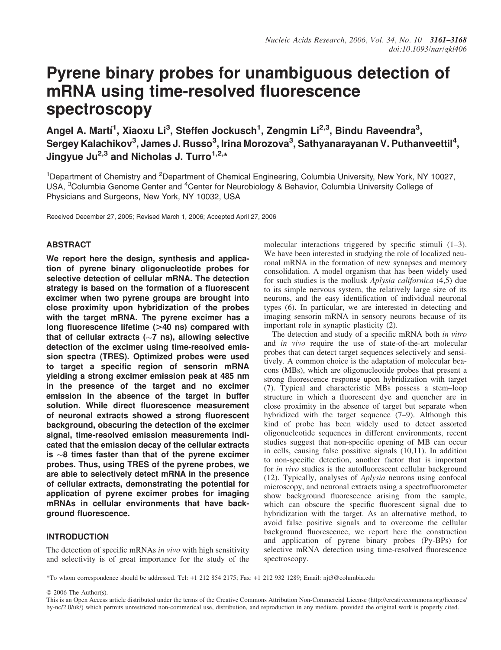# Pyrene binary probes for unambiguous detection of mRNA using time-resolved fluorescence spectroscopy

Angel A. Martí<sup>1</sup>, Xiaoxu Li<sup>3</sup>, Steffen Jockusch<sup>1</sup>, Zengmin Li<sup>2,3</sup>, Bindu Raveendra<sup>3</sup>, Sergey Kalachikov $^3$ , James J. Russo $^3$ , Irina Morozova $^3$ , Sathyanarayanan V. Puthanveettil $^4,$ Jingyue Ju<sup>2,3</sup> and Nicholas J. Turro<sup>1,2,\*</sup>

<sup>1</sup>Department of Chemistry and <sup>2</sup>Department of Chemical Engineering, Columbia University, New York, NY 10027, USA, <sup>3</sup>Columbia Genome Center and <sup>4</sup>Center for Neurobiology & Behavior, Columbia University College of Physicians and Surgeons, New York, NY 10032, USA

Received December 27, 2005; Revised March 1, 2006; Accepted April 27, 2006

# **ABSTRACT**

We report here the design, synthesis and application of pyrene binary oligonucleotide probes for selective detection of cellular mRNA. The detection strategy is based on the formation of a fluorescent excimer when two pyrene groups are brought into close proximity upon hybridization of the probes with the target mRNA. The pyrene excimer has a long fluorescence lifetime  $(>40 \text{ ns})$  compared with that of cellular extracts  $(\sim 7 \text{ ns})$ , allowing selective detection of the excimer using time-resolved emission spectra (TRES). Optimized probes were used to target a specific region of sensorin mRNA yielding a strong excimer emission peak at 485 nm in the presence of the target and no excimer emission in the absence of the target in buffer solution. While direct fluorescence measurement of neuronal extracts showed a strong fluorescent background, obscuring the detection of the excimer signal, time-resolved emission measurements indicated that the emission decay of the cellular extracts is  $\sim$ 8 times faster than that of the pyrene excimer probes. Thus, using TRES of the pyrene probes, we are able to selectively detect mRNA in the presence of cellular extracts, demonstrating the potential for application of pyrene excimer probes for imaging mRNAs in cellular environments that have background fluorescence.

# INTRODUCTION

The detection of specific mRNAs in vivo with high sensitivity and selectivity is of great importance for the study of the molecular interactions triggered by specific stimuli  $(1-3)$ . We have been interested in studying the role of localized neuronal mRNA in the formation of new synapses and memory consolidation. A model organism that has been widely used for such studies is the mollusk Aplysia californica (4,5) due to its simple nervous system, the relatively large size of its neurons, and the easy identification of individual neuronal types (6). In particular, we are interested in detecting and imaging sensorin mRNA in sensory neurons because of its important role in synaptic plasticity (2).

The detection and study of a specific mRNA both in vitro and in vivo require the use of state-of-the-art molecular probes that can detect target sequences selectively and sensitively. A common choice is the adaptation of molecular beacons (MBs), which are oligonucleotide probes that present a strong fluorescence response upon hybridization with target (7). Typical and characteristic MBs possess a stem–loop structure in which a fluorescent dye and quencher are in close proximity in the absence of target but separate when hybridized with the target sequence (7–9). Although this kind of probe has been widely used to detect assorted oligonucleotide sequences in different environments, recent studies suggest that non-specific opening of MB can occur in cells, causing false possitive signals (10,11). In addition to non-specific detection, another factor that is important for in vivo studies is the autofluorescent cellular background (12). Typically, analyses of Aplysia neurons using confocal microscopy, and neuronal extracts using a spectrofluorometer show background fluorescence arising from the sample, which can obscure the specific fluorescent signal due to hybridization with the target. As an alternative method, to avoid false positive signals and to overcome the cellular background fluorescence, we report here the construction and application of pyrene binary probes (Py-BPs) for selective mRNA detection using time-resolved fluorescence spectroscopy.

\*To whom correspondence should be addressed. Tel: +1 212 854 2175; Fax: +1 212 932 1289; Email: njt3@columbia.edu

© 2006 The Author(s).

This is an Open Access article distributed under the terms of the Creative Commons Attribution Non-Commercial License [\(http://creativecommons.org/licenses/](http://creativecommons.org/licenses/) by-nc/2.0/uk/) which permits unrestricted non-commerical use, distribution, and reproduction in any medium, provided the original work is properly cited.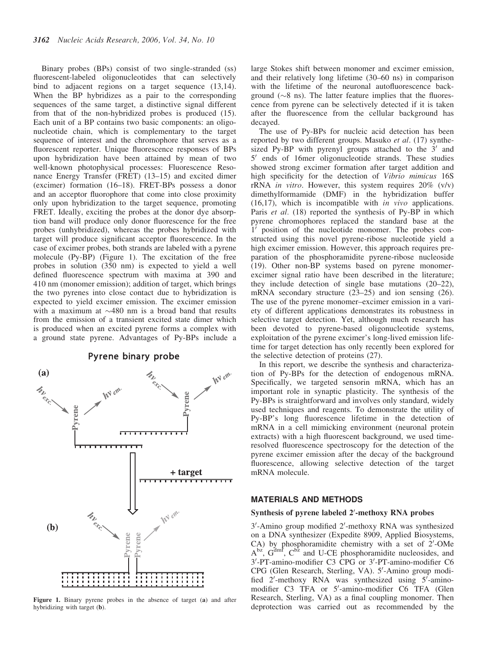Binary probes (BPs) consist of two single-stranded (ss) fluorescent-labeled oligonucleotides that can selectively bind to adjacent regions on a target sequence (13,14). When the BP hybridizes as a pair to the corresponding sequences of the same target, a distinctive signal different from that of the non-hybridized probes is produced (15). Each unit of a BP contains two basic components: an oligonucleotide chain, which is complementary to the target sequence of interest and the chromophore that serves as a fluorescent reporter. Unique fluorescence responses of BPs upon hybridization have been attained by mean of two well-known photophysical processes: Fluorescence Resonance Energy Transfer (FRET) (13–15) and excited dimer (excimer) formation (16–18). FRET-BPs possess a donor and an acceptor fluorophore that come into close proximity only upon hybridization to the target sequence, promoting FRET. Ideally, exciting the probes at the donor dye absorption band will produce only donor fluorescence for the free probes (unhybridized), whereas the probes hybridized with target will produce significant acceptor fluorescence. In the case of excimer probes, both strands are labeled with a pyrene molecule (Py-BP) (Figure 1). The excitation of the free probes in solution (350 nm) is expected to yield a well defined fluorescence spectrum with maxima at 390 and 410 nm (monomer emission); addition of target, which brings the two pyrenes into close contact due to hybridization is expected to yield excimer emission. The excimer emission with a maximum at  $\sim$ 480 nm is a broad band that results from the emission of a transient excited state dimer which is produced when an excited pyrene forms a complex with a ground state pyrene. Advantages of Py-BPs include a

Pyrene binary probe



Figure 1. Binary pyrene probes in the absence of target (a) and after hybridizing with target (b).

large Stokes shift between monomer and excimer emission, and their relatively long lifetime (30–60 ns) in comparison with the lifetime of the neuronal autofluorescence background  $({\sim}8 \text{ ns})$ . The latter feature implies that the fluorescence from pyrene can be selectively detected if it is taken after the fluorescence from the cellular background has decayed.

The use of Py-BPs for nucleic acid detection has been reported by two different groups. Masuko et al. (17) synthesized Py-BP with pyrenyl groups attached to the  $3'$  and  $5'$  ends of 16mer oligonucleotide strands. These studies showed strong excimer formation after target addition and high specificity for the detection of Vibrio mimicus 16S rRNA in vitro. However, this system requires 20% (v/v) dimethylformamide (DMF) in the hybridization buffer (16,17), which is incompatible with in vivo applications. Paris *et al.* (18) reported the synthesis of Py-BP in which pyrene chromophores replaced the standard base at the  $1'$  position of the nucleotide monomer. The probes constructed using this novel pyrene-ribose nucleotide yield a high excimer emission. However, this approach requires preparation of the phosphoramidite pyrene-ribose nucleoside (19). Other non-BP systems based on pyrene monomerexcimer signal ratio have been described in the literature; they include detection of single base mutations (20–22), mRNA secondary structure (23–25) and ion sensing (26). The use of the pyrene monomer–excimer emission in a variety of different applications demonstrates its robustness in selective target detection. Yet, although much research has been devoted to pyrene-based oligonucleotide systems, exploitation of the pyrene excimer's long-lived emission lifetime for target detection has only recently been explored for the selective detection of proteins (27).

In this report, we describe the synthesis and characterization of Py-BPs for the detection of endogenous mRNA. Specifically, we targeted sensorin mRNA, which has an important role in synaptic plasticity. The synthesis of the Py-BPs is straightforward and involves only standard, widely used techniques and reagents. To demonstrate the utility of Py-BP's long fluorescence lifetime in the detection of mRNA in a cell mimicking environment (neuronal protein extracts) with a high fluorescent background, we used timeresolved fluorescence spectroscopy for the detection of the pyrene excimer emission after the decay of the background fluorescence, allowing selective detection of the target mRNA molecule.

### MATERIALS AND METHODS

# Synthesis of pyrene labeled 2'-methoxy RNA probes

3'-Amino group modified 2'-methoxy RNA was synthesized on a DNA synthesizer (Expedite 8909, Applied Biosystems,  $CA)$  by phosphoramidite chemistry with a set of  $2'$ -OMe  $A<sup>bz</sup>$ ,  $G<sup>dm<sup>f</sup></sup>$ ,  $C<sup>b<sub>z</sub></sup>$  and U-CE phosphoramidite nucleosides, and 3'-PT-amino-modifier C3 CPG or 3'-PT-amino-modifier C6 CPG (Glen Research, Sterling, VA). 5'-Amino group modified 2'-methoxy RNA was synthesized using 5'-aminomodifier C3 TFA or 5'-amino-modifier C6 TFA (Glen Research, Sterling, VA) as a final coupling monomer. Then deprotection was carried out as recommended by the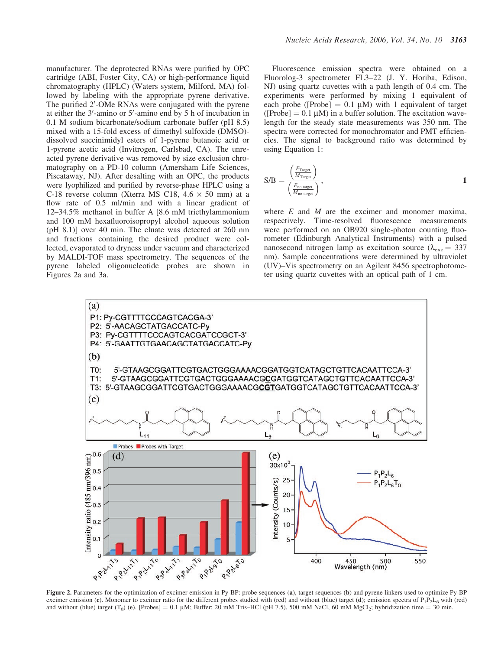manufacturer. The deprotected RNAs were purified by OPC cartridge (ABI, Foster City, CA) or high-performance liquid chromatography (HPLC) (Waters system, Milford, MA) followed by labeling with the appropriate pyrene derivative. The purified 2'-OMe RNAs were conjugated with the pyrene at either the 3'-amino or 5'-amino end by 5 h of incubation in 0.1 M sodium bicarbonate/sodium carbonate buffer (pH 8.5) mixed with a 15-fold excess of dimethyl sulfoxide (DMSO) dissolved succinimidyl esters of 1-pyrene butanoic acid or 1-pyrene acetic acid (Invitrogen, Carlsbad, CA). The unreacted pyrene derivative was removed by size exclusion chromatography on a PD-10 column (Amersham Life Sciences, Piscataway, NJ). After desalting with an OPC, the products were lyophilized and purified by reverse-phase HPLC using a C-18 reverse column (Xterra MS C18,  $4.6 \times 50$  mm) at a flow rate of 0.5 ml/min and with a linear gradient of 12–34.5% methanol in buffer A [8.6 mM triethylammonium and 100 mM hexafluoroisopropyl alcohol aqueous solution (pH 8.1)] over 40 min. The eluate was detected at 260 nm and fractions containing the desired product were collected, evaporated to dryness under vacuum and characterized by MALDI-TOF mass spectrometry. The sequences of the pyrene labeled oligonucleotide probes are shown in Figures 2a and 3a.

Fluorescence emission spectra were obtained on a Fluorolog-3 spectrometer FL3–22 (J. Y. Horiba, Edison, NJ) using quartz cuvettes with a path length of 0.4 cm. The experiments were performed by mixing 1 equivalent of each probe ([Probe] =  $0.1 \mu M$ ) with 1 equivalent of target ( $[Probe] = 0.1 \mu M$ ) in a buffer solution. The excitation wavelength for the steady state measurements was 350 nm. The spectra were corrected for monochromator and PMT efficiencies. The signal to background ratio was determined by using Equation 1:

$$
S/B = \frac{\left(\frac{E_{\text{Target}}}{M_{\text{Target}}}\right)}{\left(\frac{E_{\text{no target}}}{M_{\text{no target}}}\right)},
$$

where  $E$  and  $M$  are the excimer and monomer maxima, respectively. Time-resolved fluorescence measurements were performed on an OB920 single-photon counting fluorometer (Edinburgh Analytical Instruments) with a pulsed nanosecond nitrogen lamp as excitation source ( $\lambda_{\text{exc}} = 337$ nm). Sample concentrations were determined by ultraviolet (UV)–Vis spectrometry on an Agilent 8456 spectrophotometer using quartz cuvettes with an optical path of 1 cm.



Figure 2. Parameters for the optimization of excimer emission in Py-BP: probe sequences (a), target sequences (b) and pyrene linkers used to optimize Py-BP excimer emission (c). Monomer to excimer ratio for the different probes studied with (red) and without (blue) target (d); emission spectra of  $P_1P_2L_6$  with (red) and without (blue) target (T<sub>0</sub>) (e). [Probes] = 0.1 µM; Buffer: 20 mM Tris–HCl (pH 7.5), 500 mM NaCl, 60 mM MgCl<sub>2</sub>; hybridization time = 30 min.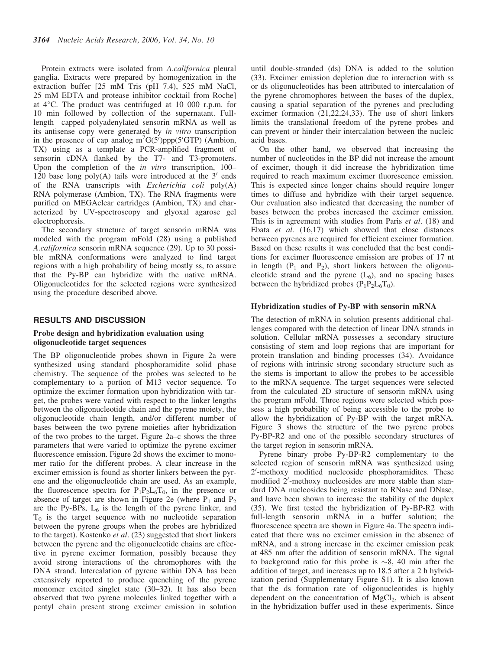Protein extracts were isolated from A.californica pleural ganglia. Extracts were prepared by homogenization in the extraction buffer [25 mM Tris (pH 7.4), 525 mM NaCl, 25 mM EDTA and protease inhibitor cocktail from Roche] at  $4^{\circ}$ C. The product was centrifuged at 10 000 r.p.m. for 10 min followed by collection of the supernatant. Fulllength capped polyadenylated sensorin mRNA as well as its antisense copy were generated by in vitro transcription in the presence of cap analog  $m^7G(5)$ ppp(5'GTP) (Ambion, TX) using as a template a PCR-amplified fragment of sensorin cDNA flanked by the T7- and T3-promoters. Upon the completion of the *in vitro* transcription, 100– 120 base long  $poly(A)$  tails were introduced at the 3<sup>'</sup> ends of the RNA transcripts with *Escherichia coli*  $poly(A)$ RNA polymerase (Ambion, TX). The RNA fragments were purified on MEGAclear cartridges (Ambion, TX) and characterized by UV-spectroscopy and glyoxal agarose gel electrophoresis.

The secondary structure of target sensorin mRNA was modeled with the program mFold (28) using a published A.californica sensorin mRNA sequence (29). Up to 30 possible mRNA conformations were analyzed to find target regions with a high probability of being mostly ss, to assure that the Py-BP can hybridize with the native mRNA. Oligonucleotides for the selected regions were synthesized using the procedure described above.

## RESULTS AND DISCUSSION

## Probe design and hybridization evaluation using oligonucleotide target sequences

The BP oligonucleotide probes shown in Figure 2a were synthesized using standard phosphoramidite solid phase chemistry. The sequence of the probes was selected to be complementary to a portion of M13 vector sequence. To optimize the excimer formation upon hybridization with target, the probes were varied with respect to the linker lengths between the oligonucleotide chain and the pyrene moiety, the oligonucleotide chain length, and/or different number of bases between the two pyrene moieties after hybridization of the two probes to the target. Figure 2a–c shows the three parameters that were varied to optimize the pyrene excimer fluorescence emission. Figure 2d shows the excimer to monomer ratio for the different probes. A clear increase in the excimer emission is found as shorter linkers between the pyrene and the oligonucleotide chain are used. As an example, the fluorescence spectra for  $P_1P_2L_6T_0$ , in the presence or absence of target are shown in Figure 2e (where  $P_1$  and  $P_2$ ) are the Py-BPs,  $L_6$  is the length of the pyrene linker, and  $T_0$  is the target sequence with no nucleotide separation between the pyrene groups when the probes are hybridized to the target). Kostenko et al. (23) suggested that short linkers between the pyrene and the oligonucleotide chains are effective in pyrene excimer formation, possibly because they avoid strong interactions of the chromophores with the DNA strand. Intercalation of pyrene within DNA has been extensively reported to produce quenching of the pyrene monomer excited singlet state (30–32). It has also been observed that two pyrene molecules linked together with a pentyl chain present strong excimer emission in solution

until double-stranded (ds) DNA is added to the solution (33). Excimer emission depletion due to interaction with ss or ds oligonucleotides has been attributed to intercalation of the pyrene chromophores between the bases of the duplex, causing a spatial separation of the pyrenes and precluding excimer formation (21,22,24,33). The use of short linkers limits the translational freedom of the pyrene probes and can prevent or hinder their intercalation between the nucleic acid bases.

On the other hand, we observed that increasing the number of nucleotides in the BP did not increase the amount of excimer, though it did increase the hybridization time required to reach maximum excimer fluorescence emission. This is expected since longer chains should require longer times to diffuse and hybridize with their target sequence. Our evaluation also indicated that decreasing the number of bases between the probes increased the excimer emission. This is in agreement with studies from Paris et al. (18) and Ebata et al. (16,17) which showed that close distances between pyrenes are required for efficient excimer formation. Based on these results it was concluded that the best conditions for excimer fluorescence emission are probes of 17 nt in length  $(P_1$  and  $P_2$ ), short linkers between the oligonucleotide strand and the pyrene  $(L_6)$ , and no spacing bases between the hybridized probes  $(P_1P_2L_6T_0)$ .

#### Hybridization studies of Py-BP with sensorin mRNA

The detection of mRNA in solution presents additional challenges compared with the detection of linear DNA strands in solution. Cellular mRNA possesses a secondary structure consisting of stem and loop regions that are important for protein translation and binding processes (34). Avoidance of regions with intrinsic strong secondary structure such as the stems is important to allow the probes to be accessible to the mRNA sequence. The target sequences were selected from the calculated 2D structure of sensorin mRNA using the program mFold. Three regions were selected which possess a high probability of being accessible to the probe to allow the hybridization of Py-BP with the target mRNA. Figure 3 shows the structure of the two pyrene probes Py-BP-R2 and one of the possible secondary structures of the target region in sensorin mRNA.

Pyrene binary probe Py-BP-R2 complementary to the selected region of sensorin mRNA was synthesized using 2'-methoxy modified nucleoside phosphoramidites. These modified 2'-methoxy nucleosides are more stable than standard DNA nucleosides being resistant to RNase and DNase, and have been shown to increase the stability of the duplex (35). We first tested the hybridization of Py-BP-R2 with full-length sensorin mRNA in a buffer solution; the fluorescence spectra are shown in Figure 4a. The spectra indicated that there was no excimer emission in the absence of mRNA, and a strong increase in the excimer emission peak at 485 nm after the addition of sensorin mRNA. The signal to background ratio for this probe is  $\sim 8$ , 40 min after the addition of target, and increases up to 18.5 after a 2 h hybridization period (Supplementary Figure S1). It is also known that the ds formation rate of oligonucleotides is highly dependent on the concentration of  $MgCl<sub>2</sub>$ , which is absent in the hybridization buffer used in these experiments. Since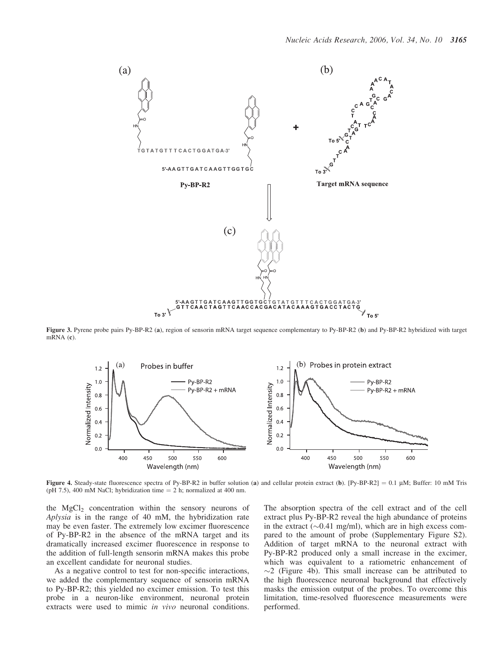

Figure 3. Pyrene probe pairs Py-BP-R2 (a), region of sensorin mRNA target sequence complementary to Py-BP-R2 (b) and Py-BP-R2 hybridized with target mRNA (c).



Figure 4. Steady-state fluorescence spectra of Py-BP-R2 in buffer solution (a) and cellular protein extract (b). [Py-BP-R2] = 0.1 µM; Buffer: 10 mM Tris (pH 7.5), 400 mM NaCl; hybridization time  $= 2$  h; normalized at 400 nm.

the  $MgCl<sub>2</sub>$  concentration within the sensory neurons of Aplysia is in the range of 40 mM, the hybridization rate may be even faster. The extremely low excimer fluorescence of Py-BP-R2 in the absence of the mRNA target and its dramatically increased excimer fluorescence in response to the addition of full-length sensorin mRNA makes this probe an excellent candidate for neuronal studies.

As a negative control to test for non-specific interactions, we added the complementary sequence of sensorin mRNA to Py-BP-R2; this yielded no excimer emission. To test this probe in a neuron-like environment, neuronal protein extracts were used to mimic in vivo neuronal conditions.

The absorption spectra of the cell extract and of the cell extract plus Py-BP-R2 reveal the high abundance of proteins in the extract ( $\sim$ 0.41 mg/ml), which are in high excess compared to the amount of probe (Supplementary Figure S2). Addition of target mRNA to the neuronal extract with Py-BP-R2 produced only a small increase in the excimer, which was equivalent to a ratiometric enhancement of  $\sim$ 2 (Figure 4b). This small increase can be attributed to the high fluorescence neuronal background that effectively masks the emission output of the probes. To overcome this limitation, time-resolved fluorescence measurements were performed.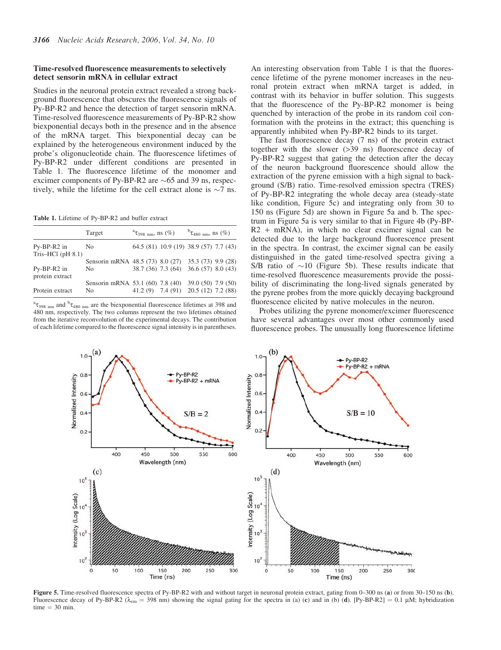## Time-resolved fluorescence measurements to selectively detect sensorin mRNA in cellular extract

Studies in the neuronal protein extract revealed a strong background fluorescence that obscures the fluorescence signals of Py-BP-R2 and hence the detection of target sensorin mRNA. Time-resolved fluorescence measurements of Py-BP-R2 show biexponential decays both in the presence and in the absence of the mRNA target. This biexponential decay can be explained by the heterogeneous environment induced by the probe's oligonucleotide chain. The fluorescence lifetimes of Py-BP-R2 under different conditions are presented in Table 1. The fluorescence lifetime of the monomer and excimer components of Py-BP-R2 are  $\sim 65$  and 39 ns, respectively, while the lifetime for the cell extract alone is  $\sim$ 7 ns.

Table 1. Lifetime of Py-BP-R2 and buffer extract

|                                              | Target         | $\sigma^2$ $\tau_{398 \text{ nm}}$ , ns $(\%)$                                               | ${}^{b} \tau_{480 \text{ nm}}$ , ns $(\%)$ |
|----------------------------------------------|----------------|----------------------------------------------------------------------------------------------|--------------------------------------------|
| $Py-BP-R2$ in<br>Tris-HCl $(\text{pH } 8.1)$ | N <sub>0</sub> | 64.5 (81) 10.9 (19) 38.9 (57) 7.7 (43)                                                       |                                            |
| Py-BP-R2 in<br>protein extract               | N <sub>0</sub> | Sensorin mRNA 48.5 (73) 8.0 (27) 35.3 (73) 9.9 (28)<br>38.7 (36) 7.3 (64) 36.6 (57) 8.0 (43) |                                            |
| Protein extract                              | No.            | Sensorin mRNA 53.1 (60) 7.8 (40) 39.0 (50) 7.9 (50)<br>41.2 (9) 7.4 (91) 20.5 (12) 7.2 (88)  |                                            |

 ${}^{\text{a}}\tau_{398\text{ nm}}$  and  ${}^{\text{b}}\tau_{480\text{ nm}}$  are the biexponential fluorescence lifetimes at 398 and 480 nm, respectively. The two columns represent the two lifetimes obtained from the iterative reconvolution of the experimental decays. The contribution of each lifetime compared to the fluorescence signal intensity is in parentheses. An interesting observation from Table 1 is that the fluorescence lifetime of the pyrene monomer increases in the neuronal protein extract when mRNA target is added, in contrast with its behavior in buffer solution. This suggests that the fluorescence of the Py-BP-R2 monomer is being quenched by interaction of the probe in its random coil conformation with the proteins in the extract; this quenching is apparently inhibited when Py-BP-R2 binds to its target.

The fast fluorescence decay (7 ns) of the protein extract together with the slower (>39 ns) fluorescence decay of Py-BP-R2 suggest that gating the detection after the decay of the neuron background fluorescence should allow the extraction of the pyrene emission with a high signal to background (S/B) ratio. Time-resolved emission spectra (TRES) of Py-BP-R2 integrating the whole decay area (steady-state like condition, Figure 5c) and integrating only from 30 to 150 ns (Figure 5d) are shown in Figure 5a and b. The spectrum in Figure 5a is very similar to that in Figure 4b (Py-BP- $R2$  + mRNA), in which no clear excimer signal can be detected due to the large background fluorescence present in the spectra. In contrast, the excimer signal can be easily distinguished in the gated time-resolved spectra giving a S/B ratio of  $\sim$ 10 (Figure 5b). These results indicate that time-resolved fluorescence measurements provide the possibility of discriminating the long-lived signals generated by the pyrene probes from the more quickly decaying background fluorescence elicited by native molecules in the neuron.

Probes utilizing the pyrene monomer/excimer fluorescence have several advantages over most other commonly used fluorescence probes. The unusually long fluorescence lifetime



Figure 5. Time-resolved fluorescence spectra of Py-BP-R2 with and without target in neuronal protein extract, gating from 0–300 ns (a) or from 30–150 ns (b). Fluorescence decay of Py-BP-R2 ( $\lambda_{\rm em}$  = 398 nm) showing the signal gating for the spectra in (a) (c) and in (b) (d). [Py-BP-R2] = 0.1 µM; hybridization  $time = 30$  min.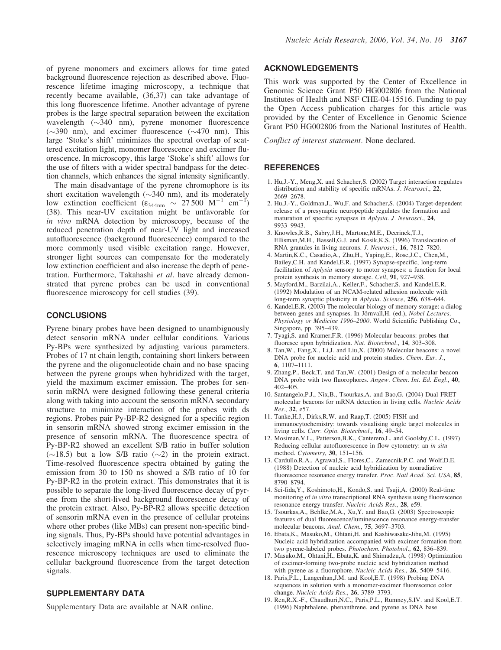of pyrene monomers and excimers allows for time gated background fluorescence rejection as described above. Fluorescence lifetime imaging microscopy, a technique that recently became available, (36,37) can take advantage of this long fluorescence lifetime. Another advantage of pyrene probes is the large spectral separation between the excitation wavelength  $(\sim)340$  nm), pyrene monomer fluorescence  $(\sim 390 \text{ nm})$ , and excimer fluorescence  $(\sim 470 \text{ nm})$ . This large 'Stoke's shift' minimizes the spectral overlap of scattered excitation light, monomer fluorescence and excimer fluorescence. In microscopy, this large 'Stoke's shift' allows for the use of filters with a wider spectral bandpass for the detection channels, which enhances the signal intensity significantly.

The main disadvantage of the pyrene chromophore is its short excitation wavelength  $(\sim 340 \text{ nm})$ , and its moderately low extinction coefficient  $(\epsilon_{344nm} \sim 27500 \text{ M}^{-1} \text{ cm}^{-1})$ (38). This near-UV excitation might be unfavorable for in vivo mRNA detection by microscopy, because of the reduced penetration depth of near-UV light and increased autofluorescence (background fluorescence) compared to the more commonly used visible excitation range. However, stronger light sources can compensate for the moderately low extinction coefficient and also increase the depth of penetration. Furthermore, Takahashi et al. have already demonstrated that pyrene probes can be used in conventional fluorescence microscopy for cell studies (39).

## **CONCLUSIONS**

Pyrene binary probes have been designed to unambiguously detect sensorin mRNA under cellular conditions. Various Py-BPs were synthesized by adjusting various parameters. Probes of 17 nt chain length, containing short linkers between the pyrene and the oligonucleotide chain and no base spacing between the pyrene groups when hybridized with the target, yield the maximum excimer emission. The probes for sensorin mRNA were designed following these general criteria along with taking into account the sensorin mRNA secondary structure to minimize interaction of the probes with ds regions. Probes pair Py-BP-R2 designed for a specific region in sensorin mRNA showed strong excimer emission in the presence of sensorin mRNA. The fluorescence spectra of Py-BP-R2 showed an excellent S/B ratio in buffer solution  $(\sim 18.5)$  but a low S/B ratio  $(\sim 2)$  in the protein extract. Time-resolved fluorescence spectra obtained by gating the emission from 30 to 150 ns showed a S/B ratio of 10 for Py-BP-R2 in the protein extract. This demonstrates that it is possible to separate the long-lived fluorescence decay of pyrene from the short-lived background fluorescence decay of the protein extract. Also, Py-BP-R2 allows specific detection of sensorin mRNA even in the presence of cellular proteins where other probes (like MBs) can present non-specific binding signals. Thus, Py-BPs should have potential advantages in selectively imaging mRNA in cells when time-resolved fluorescence microscopy techniques are used to eliminate the cellular background fluorescence from the target detection signals.

# SUPPLEMENTARY DATA

Supplementary Data are available at NAR online.

## ACKNOWLEDGEMENTS

This work was supported by the Center of Excellence in Genomic Science Grant P50 HG002806 from the National Institutes of Health and NSF CHE-04-15516. Funding to pay the Open Access publication charges for this article was provided by the Center of Excellence in Genomic Science Grant P50 HG002806 from the National Institutes of Health.

Conflict of interest statement. None declared.

# **REFERENCES**

- 1. Hu,J.-Y., Meng,X. and Schacher,S. (2002) Target interaction regulates distribution and stability of specific mRNAs. J. Neurosci., 22, 2669–2678.
- 2. Hu,J.-Y., Goldman,J., Wu,F. and Schacher,S. (2004) Target-dependent release of a presynaptic neuropeptide regulates the formation and maturation of specific synapses in Aplysia. J. Neurosci., 24, 9933–9943.
- 3. Knowles,R.B., Sabry,J.H., Martone,M.E., Deerinck,T.J., Ellisman,M.H., Bassell,G.J. and Kosik,K.S. (1996) Translocation of RNA granules in living neurons. J. Neurosci., 16, 7812–7820.
- 4. Martin,K.C., Casadio,A., Zhu,H., Yaping,E., Rose,J.C., Chen,M., Bailey,C.H. and Kandel,E.R. (1997) Synapse-specific, long-term facilitation of Aplysia sensory to motor synapses: a function for local protein synthesis in memory storage. Cell, 91, 927–938.
- 5. Mayford,M., Barzilai,A., Keller,F., Schacher,S. and Kandel,E.R. (1992) Modulation of an NCAM-related adhesion molecule with long-term synaptic plasticity in Aplysia. Science, 256, 638–644.
- 6. Kandel,E.R. (2003) The molecular biology of memory storage: a dialog between genes and synapses. In Jörnvall, H. (ed.), Nobel Lectures, Physiology or Medicine 1996–2000. World Scientific Publishing Co., Singapore, pp. 395–439.
- 7. Tyagi,S. and Kramer,F.R. (1996) Molecular beacons: probes that fluoresce upon hybridization. Nat. Biotechnol., 14, 303–308.
- 8. Tan,W., Fang,X., Li,J. and Liu,X. (2000) Molecular beacons: a novel DNA probe for nucleic acid and protein studies. *Chem. Eur. J.*, 6, 1107–1111.
- 9. Zhang,P., Beck,T. and Tan,W. (2001) Design of a molecular beacon DNA probe with two fluorophores. Angew. Chem. Int. Ed. Engl., 40, 402–405.
- 10. Santangelo,P.J., Nix,B., Tsourkas,A. and Bao,G. (2004) Dual FRET molecular beacons for mRNA detection in living cells. Nucleic Acids Res., 32, e57.
- 11. Tanke,H.J., Dirks,R.W. and Raap,T. (2005) FISH and immunocytochemistry: towards visualising single target molecules in living cells. Curr. Opin. Biotechnol., 16, 49–54.
- 12. Mosiman,V.L., Patterson,B.K., Canterero,L. and Goolsby,C.L. (1997) Reducing cellular autofluorescence in flow cytometry: an in situ method. Cytometry, 30, 151–156.
- 13. Cardullo,R.A., Agrawal,S., Flores,C., Zamecnik,P.C. and Wolf,D.E. (1988) Detection of nucleic acid hybridization by nonradiative fluorescence resonance energy transfer. Proc. Natl Acad. Sci. USA, 85, 8790–8794.
- 14. Sei-Iida,Y., Koshimoto,H., Kondo,S. and Tsuji,A. (2000) Real-time monitoring of in vitro transcriptional RNA synthesis using fluorescence resonance energy transfer. Nucleic Acids Res., 28, e59.
- 15. Tsourkas,A., Behlke,M.A., Xu,Y. and Bao,G. (2003) Spectroscopic features of dual fluorescence/luminescence resonance energy-transfer molecular beacons. Anal. Chem., 75, 3697–3703.
- 16. Ebata,K., Masuko,M., Ohtani,H. and Kashiwasake-Jibu,M. (1995) Nucleic acid hybridization accompanied with excimer formation from two pyrene-labeled probes. Photochem. Photobiol., 62, 836–839.
- 17. Masuko,M., Ohtani,H., Ebata,K. and Shimadzu,A. (1998) Optimization of excimer-forming two-probe nucleic acid hybridization method with pyrene as a fluorophore. Nucleic Acids Res., 26, 5409–5416.
- 18. Paris,P.L., Langenhan,J.M. and Kool,E.T. (1998) Probing DNA sequences in solution with a monomer-excimer fluorescence color change. Nucleic Acids Res., 26, 3789–3793.
- 19. Ren,R.X.-F., Chaudhuri,N.C., Paris,P.L., Rumney,S.IV. and Kool,E.T. (1996) Naphthalene, phenanthrene, and pyrene as DNA base